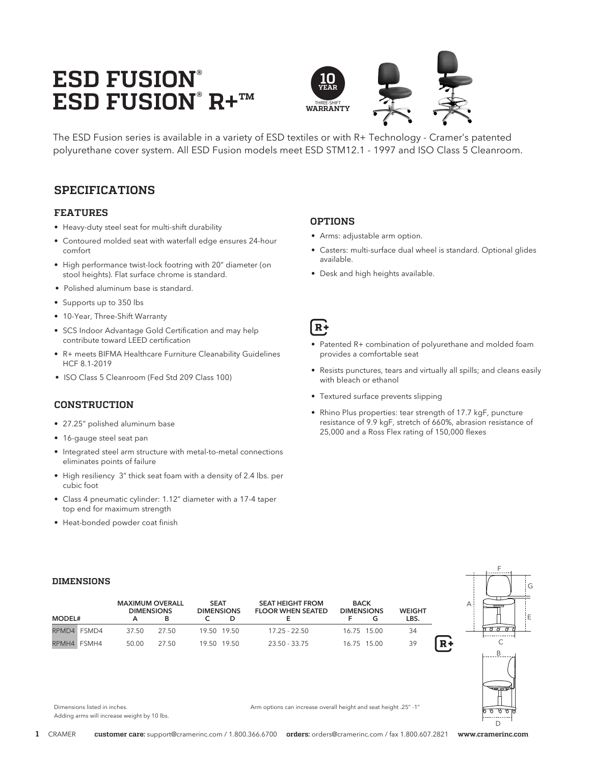# **ESD FUSION® ESD FUSION® R+™**



The ESD Fusion series is available in a variety of ESD textiles or with R+ Technology - Cramer's patented polyurethane cover system. All ESD Fusion models meet ESD STM12.1 - 1997 and ISO Class 5 Cleanroom.

# **SPECIFICATIONS**

#### **FEATURES**

- Heavy-duty steel seat for multi-shift durability
- Contoured molded seat with waterfall edge ensures 24-hour comfort
- High performance twist-lock footring with 20" diameter (on stool heights). Flat surface chrome is standard.
- Polished aluminum base is standard.
- Supports up to 350 lbs
- 10-Year, Three-Shift Warranty
- SCS Indoor Advantage Gold Certification and may help contribute toward LEED certification
- R+ meets BIFMA Healthcare Furniture Cleanability Guidelines HCF 8.1-2019
- ISO Class 5 Cleanroom (Fed Std 209 Class 100)

#### **CONSTRUCTION**

- 27.25" polished aluminum base
- 16-gauge steel seat pan
- Integrated steel arm structure with metal-to-metal connections eliminates points of failure
- High resiliency 3" thick seat foam with a density of 2.4 lbs. per cubic foot
- Class 4 pneumatic cylinder: 1.12" diameter with a 17-4 taper top end for maximum strength
- Heat-bonded powder coat finish

#### **OPTIONS**

- Arms: adjustable arm option.
- Casters: multi-surface dual wheel is standard. Optional glides available.
- Desk and high heights available.

# $R+$

- Patented R+ combination of polyurethane and molded foam provides a comfortable seat
- Resists punctures, tears and virtually all spills; and cleans easily with bleach or ethanol
- Textured surface prevents slipping
- Rhino Plus properties: tear strength of 17.7 kgF, puncture resistance of 9.9 kgF, stretch of 660%, abrasion resistance of 25,000 and a Ross Flex rating of 150,000 flexes

#### **DIMENSIONS**

|               |       | <b>MAXIMUM OVERALL</b><br><b>DIMENSIONS</b> |  | <b>SEAT</b><br><b>DIMENSIONS</b> | <b>SEAT HEIGHT FROM</b><br><b>FLOOR WHEN SEATED</b> | <b>BACK</b><br><b>DIMENSIONS</b> |             | <b>WEIGHT</b> |    |
|---------------|-------|---------------------------------------------|--|----------------------------------|-----------------------------------------------------|----------------------------------|-------------|---------------|----|
| <b>MODEL#</b> |       |                                             |  |                                  |                                                     |                                  |             | LBS.          |    |
| RPMD4 FSMD4   | 37.50 | 27.50                                       |  | 19.50 19.50                      | $17.25 - 22.50$                                     |                                  | 16.75 15.00 | 34            |    |
| RPMH4 FSMH4   | 50.00 | 27.50                                       |  | 19.50 19.50                      | $23.50 - 33.75$                                     |                                  | 16.75 15.00 | 39            | R+ |



#### Dimensions listed in inches. Adding arms will increase weight by 10 lbs.